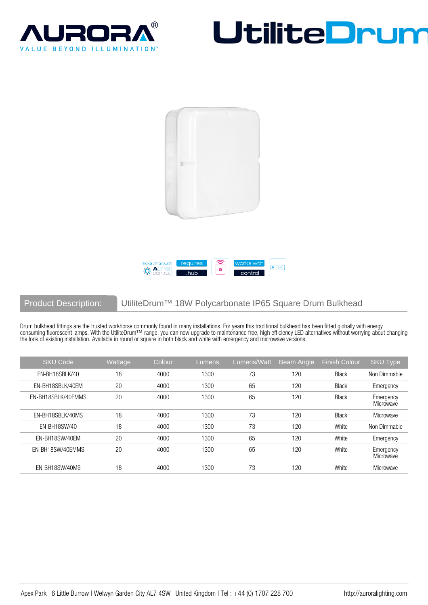







## Product Description: UtiliteDrum<sup>™</sup> 18W Polycarbonate IP65 Square Drum Bulkhead

Drum bulkhead fittings are the trusted workhorse commonly found in many installations. For years this traditional bulkhead has been fitted globally with energy consuming fluorescent lamps. With the UtiliteDrum™ range, you can now upgrade to maintenance free, high efficiency LED alternatives without worrying about changing the look of existing installation. Available in round or square in both black and white with emergency and microwave versions.

| <b>SKU Code</b>    | Wattage | Colour | Lumens | Lumens/Watt | Beam Angle | <b>Finish Colour</b> | <b>SKU Type</b>        |
|--------------------|---------|--------|--------|-------------|------------|----------------------|------------------------|
| EN-BH18SBLK/40     | 18      | 4000   | 1300   | 73          | 120        | <b>Black</b>         | Non Dimmable           |
| EN-BH18SBLK/40EM   | 20      | 4000   | 1300   | 65          | 120        | <b>Black</b>         | Emergency              |
| EN-BH18SBLK/40EMMS | 20      | 4000   | 1300   | 65          | 120        | <b>Black</b>         | Emergency<br>Microwave |
| EN-BH18SBLK/40MS   | 18      | 4000   | 1300   | 73          | 120        | <b>Black</b>         | Microwave              |
| EN-BH18SW/40       | 18      | 4000   | 1300   | 73          | 120        | White                | Non Dimmable           |
| EN-BH18SW/40EM     | 20      | 4000   | 1300   | 65          | 120        | White                | Emergency              |
| EN-BH18SW/40EMMS   | 20      | 4000   | 1300   | 65          | 120        | White                | Emergency<br>Microwave |
| EN-BH18SW/40MS     | 18      | 4000   | 1300   | 73          | 120        | White                | Microwave              |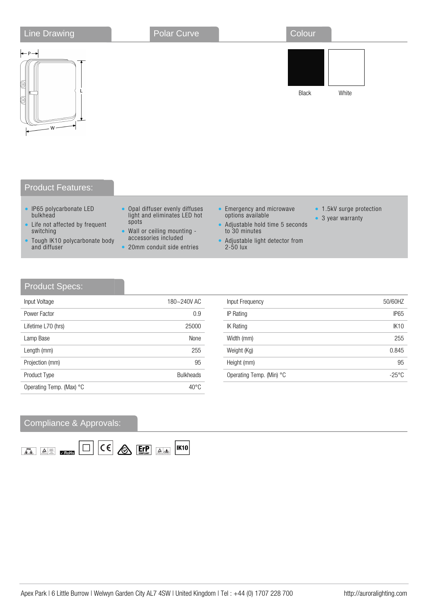| <b>Line Drawing</b>                               | Polar Curve | Colour |       |
|---------------------------------------------------|-------------|--------|-------|
| $\leftarrow$ P $\rightarrow$<br>0<br>(o)<br>$W -$ |             | Black  | White |
| <b>Product Features:</b>                          |             |        |       |

## • IP65 polycarbonate LED

- bulkhead
- Life not affected by frequent switching
- Tough IK10 polycarbonate body and diffuser
- Opal diffuser evenly diffuses light and eliminates LED hot spots
- Wall or ceiling mounting accessories included
- 20mm conduit side entries
- Emergency and microwave options available
- Adjustable hold time 5 seconds to 30 minutes
- Adjustable light detector from 2-50 lux
- 1.5kV surge protection
- 3 year warranty

## Product Specs:

| Input Voltage            | 180~240V AC      |
|--------------------------|------------------|
| Power Factor             | 0.9              |
| Lifetime L70 (hrs)       | 25000            |
| Lamp Base                | None             |
| Length (mm)              | 255              |
| Projection (mm)          | 95               |
| Product Type             | <b>Bulkheads</b> |
| Operating Temp. (Max) °C | $40^{\circ}$ C   |

| Input Voltage      | 180~240V AC      | Input Frequency          | 50/60HZ          |
|--------------------|------------------|--------------------------|------------------|
| Power Factor       | 0.9              | IP Rating                | IP <sub>65</sub> |
| Lifetime L70 (hrs) | 25000            | <b>IK Rating</b>         | <b>IK10</b>      |
| Lamp Base          | None             | Width (mm)               | 255              |
| Length (mm)        | 255              | Weight (Kg)              | 0.845            |
| Projection (mm)    | 95               | Height (mm)              | 95               |
| Product Type       | <b>Bulkheads</b> | Operating Temp. (Min) °C | $-25^{\circ}$ C  |
|                    |                  |                          |                  |

## Compliance & Approvals: